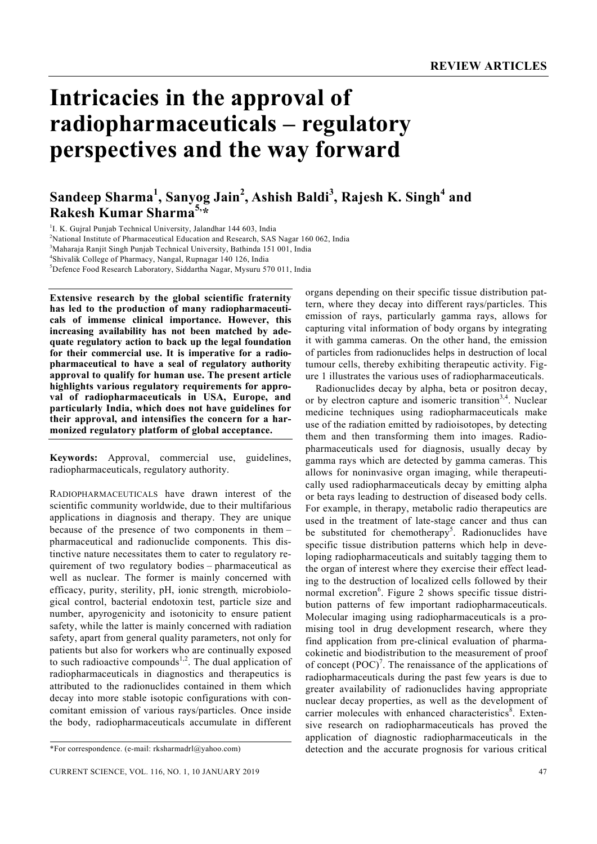# **Intricacies in the approval of radiopharmaceuticals – regulatory perspectives and the way forward**

# **Sandeep Sharma<sup>1</sup> , Sanyog Jain<sup>2</sup> , Ashish Baldi<sup>3</sup> , Rajesh K. Singh<sup>4</sup> and Rakesh Kumar Sharma5,\***

<sup>1</sup>I. K. Gujral Punjab Technical University, Jalandhar 144 603, India

<sup>2</sup>National Institute of Pharmaceutical Education and Research, SAS Nagar 160 062, India

3 Maharaja Ranjit Singh Punjab Technical University, Bathinda 151 001, India

4 Shivalik College of Pharmacy, Nangal, Rupnagar 140 126, India

5 Defence Food Research Laboratory, Siddartha Nagar, Mysuru 570 011, India

**Extensive research by the global scientific fraternity has led to the production of many radiopharmaceuticals of immense clinical importance. However, this increasing availability has not been matched by adequate regulatory action to back up the legal foundation for their commercial use. It is imperative for a radiopharmaceutical to have a seal of regulatory authority approval to qualify for human use. The present article highlights various regulatory requirements for approval of radiopharmaceuticals in USA, Europe, and particularly India, which does not have guidelines for their approval, and intensifies the concern for a harmonized regulatory platform of global acceptance.** 

**Keywords:** Approval, commercial use, guidelines, radiopharmaceuticals, regulatory authority.

RADIOPHARMACEUTICALS have drawn interest of the scientific community worldwide, due to their multifarious applications in diagnosis and therapy. They are unique because of the presence of two components in them – pharmaceutical and radionuclide components. This distinctive nature necessitates them to cater to regulatory requirement of two regulatory bodies – pharmaceutical as well as nuclear. The former is mainly concerned with efficacy, purity, sterility, pH, ionic strength*,* microbiological control, bacterial endotoxin test, particle size and number, apyrogenicity and isotonicity to ensure patient safety, while the latter is mainly concerned with radiation safety, apart from general quality parameters, not only for patients but also for workers who are continually exposed to such radioactive compounds<sup>1,2</sup>. The dual application of radiopharmaceuticals in diagnostics and therapeutics is attributed to the radionuclides contained in them which decay into more stable isotopic configurations with concomitant emission of various rays/particles. Once inside the body, radiopharmaceuticals accumulate in different

organs depending on their specific tissue distribution pattern, where they decay into different rays/particles. This emission of rays, particularly gamma rays, allows for capturing vital information of body organs by integrating it with gamma cameras. On the other hand, the emission of particles from radionuclides helps in destruction of local tumour cells, thereby exhibiting therapeutic activity. Figure 1 illustrates the various uses of radiopharmaceuticals.

 Radionuclides decay by alpha, beta or positron decay, or by electron capture and isomeric transition<sup>3,4</sup>. Nuclear medicine techniques using radiopharmaceuticals make use of the radiation emitted by radioisotopes, by detecting them and then transforming them into images. Radiopharmaceuticals used for diagnosis, usually decay by gamma rays which are detected by gamma cameras. This allows for noninvasive organ imaging, while therapeutically used radiopharmaceuticals decay by emitting alpha or beta rays leading to destruction of diseased body cells. For example, in therapy, metabolic radio therapeutics are used in the treatment of late-stage cancer and thus can be substituted for chemotherapy<sup>5</sup>. Radionuclides have specific tissue distribution patterns which help in developing radiopharmaceuticals and suitably tagging them to the organ of interest where they exercise their effect leading to the destruction of localized cells followed by their normal excretion<sup>6</sup>. Figure 2 shows specific tissue distribution patterns of few important radiopharmaceuticals. Molecular imaging using radiopharmaceuticals is a promising tool in drug development research, where they find application from pre-clinical evaluation of pharmacokinetic and biodistribution to the measurement of proof of concept  $(POC)^7$ . The renaissance of the applications of radiopharmaceuticals during the past few years is due to greater availability of radionuclides having appropriate nuclear decay properties, as well as the development of carrier molecules with enhanced characteristics<sup>8</sup>. Extensive research on radiopharmaceuticals has proved the application of diagnostic radiopharmaceuticals in the detection and the accurate prognosis for various critical

<sup>\*</sup>For correspondence. (e-mail: rksharmadrl@yahoo.com)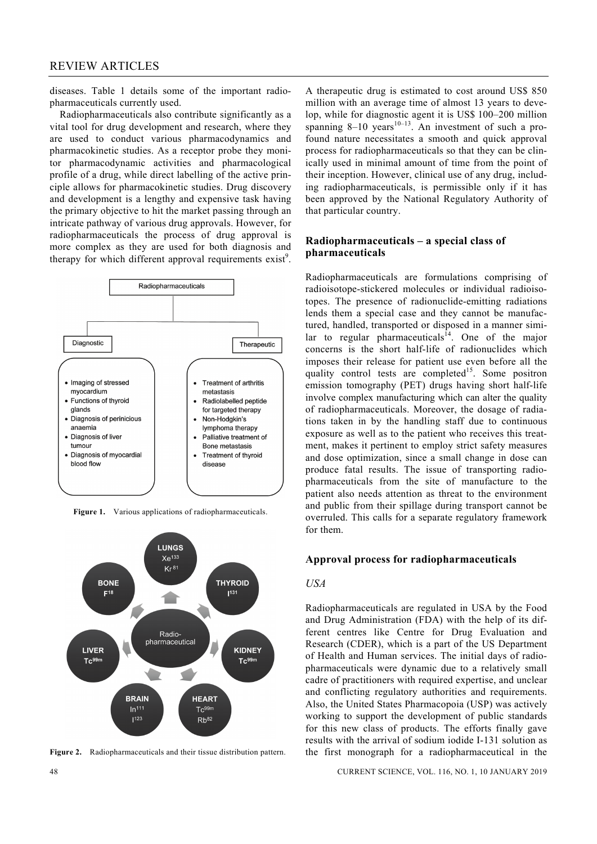diseases. Table 1 details some of the important radiopharmaceuticals currently used.

 Radiopharmaceuticals also contribute significantly as a vital tool for drug development and research, where they are used to conduct various pharmacodynamics and pharmacokinetic studies. As a receptor probe they monitor pharmacodynamic activities and pharmacological profile of a drug, while direct labelling of the active principle allows for pharmacokinetic studies. Drug discovery and development is a lengthy and expensive task having the primary objective to hit the market passing through an intricate pathway of various drug approvals. However, for radiopharmaceuticals the process of drug approval is more complex as they are used for both diagnosis and therapy for which different approval requirements  $exist^9$ .



**Figure 1.** Various applications of radiopharmaceuticals.



**Figure 2.** Radiopharmaceuticals and their tissue distribution pattern.

A therapeutic drug is estimated to cost around US\$ 850 million with an average time of almost 13 years to develop, while for diagnostic agent it is US\$ 100–200 million spanning  $8-10$  years<sup>10–13</sup>. An investment of such a profound nature necessitates a smooth and quick approval process for radiopharmaceuticals so that they can be clinically used in minimal amount of time from the point of their inception. However, clinical use of any drug, including radiopharmaceuticals, is permissible only if it has been approved by the National Regulatory Authority of that particular country.

# **Radiopharmaceuticals – a special class of pharmaceuticals**

Radiopharmaceuticals are formulations comprising of radioisotope-stickered molecules or individual radioisotopes. The presence of radionuclide-emitting radiations lends them a special case and they cannot be manufactured, handled, transported or disposed in a manner similar to regular pharmaceuticals $^{14}$ . One of the major concerns is the short half-life of radionuclides which imposes their release for patient use even before all the quality control tests are completed<sup>15</sup>. Some positron emission tomography (PET) drugs having short half-life involve complex manufacturing which can alter the quality of radiopharmaceuticals. Moreover, the dosage of radiations taken in by the handling staff due to continuous exposure as well as to the patient who receives this treatment, makes it pertinent to employ strict safety measures and dose optimization, since a small change in dose can produce fatal results. The issue of transporting radiopharmaceuticals from the site of manufacture to the patient also needs attention as threat to the environment and public from their spillage during transport cannot be overruled. This calls for a separate regulatory framework for them.

#### **Approval process for radiopharmaceuticals**

#### *USA*

Radiopharmaceuticals are regulated in USA by the Food and Drug Administration (FDA) with the help of its different centres like Centre for Drug Evaluation and Research (CDER), which is a part of the US Department of Health and Human services. The initial days of radiopharmaceuticals were dynamic due to a relatively small cadre of practitioners with required expertise, and unclear and conflicting regulatory authorities and requirements. Also, the United States Pharmacopoia (USP) was actively working to support the development of public standards for this new class of products. The efforts finally gave results with the arrival of sodium iodide I-131 solution as the first monograph for a radiopharmaceutical in the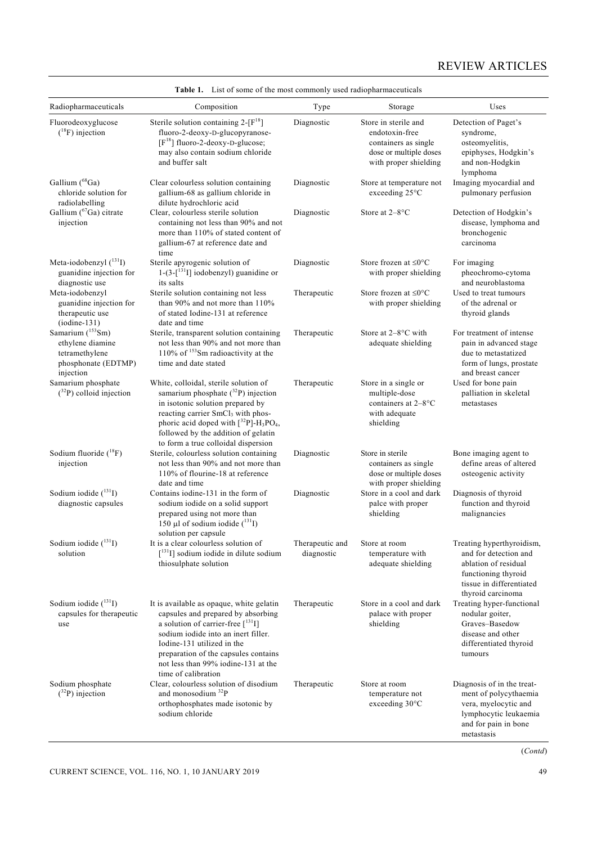| Radiopharmaceuticals                                                                                    | Composition                                                                                                                                                                                                                                                                                                                | Type                          | Storage                                                                                                           | Uses                                                                                                                                               |
|---------------------------------------------------------------------------------------------------------|----------------------------------------------------------------------------------------------------------------------------------------------------------------------------------------------------------------------------------------------------------------------------------------------------------------------------|-------------------------------|-------------------------------------------------------------------------------------------------------------------|----------------------------------------------------------------------------------------------------------------------------------------------------|
| Fluorodeoxyglucose<br>$(^{18}F)$ injection                                                              | Sterile solution containing $2-[F^{18}]$<br>fluoro-2-deoxy-D-glucopyranose-<br>$[F^{18}]$ fluoro-2-deoxy-D-glucose;<br>may also contain sodium chloride<br>and buffer salt                                                                                                                                                 | Diagnostic                    | Store in sterile and<br>endotoxin-free<br>containers as single<br>dose or multiple doses<br>with proper shielding | Detection of Paget's<br>syndrome,<br>osteomyelitis,<br>epiphyses, Hodgkin's<br>and non-Hodgkin<br>lymphoma                                         |
| Gallium (68Ga)<br>chloride solution for<br>radiolabelling                                               | Clear colourless solution containing<br>gallium-68 as gallium chloride in<br>dilute hydrochloric acid                                                                                                                                                                                                                      | Diagnostic                    | Store at temperature not<br>exceeding $25^{\circ}$ C                                                              | Imaging myocardial and<br>pulmonary perfusion                                                                                                      |
| Gallium ( <sup>67</sup> Ga) citrate<br>injection                                                        | Clear, colourless sterile solution<br>containing not less than 90% and not<br>more than 110% of stated content of<br>gallium-67 at reference date and<br>time                                                                                                                                                              | Diagnostic                    | Store at 2-8°C                                                                                                    | Detection of Hodgkin's<br>disease, lymphoma and<br>bronchogenic<br>carcinoma                                                                       |
| Meta-iodobenzyl $(^{131}I)$<br>guanidine injection for<br>diagnostic use                                | Sterile apyrogenic solution of<br>$1-(3-[^{131}I]$ iodobenzyl) guanidine or<br>its salts                                                                                                                                                                                                                                   | Diagnostic                    | Store frozen at $\leq 0^{\circ}C$<br>with proper shielding                                                        | For imaging<br>pheochromo-cytoma<br>and neuroblastoma                                                                                              |
| Meta-iodobenzyl<br>guanidine injection for<br>therapeutic use<br>$(iodine-131)$                         | Sterile solution containing not less<br>than 90% and not more than 110%<br>of stated Iodine-131 at reference<br>date and time                                                                                                                                                                                              | Therapeutic                   | Store frozen at $\leq 0^{\circ}C$<br>with proper shielding                                                        | Used to treat tumours<br>of the adrenal or<br>thyroid glands                                                                                       |
| Samarium ( <sup>153</sup> Sm)<br>ethylene diamine<br>tetramethylene<br>phosphonate (EDTMP)<br>injection | Sterile, transparent solution containing<br>not less than 90% and not more than<br>110% of $153$ Sm radioactivity at the<br>time and date stated                                                                                                                                                                           | Therapeutic                   | Store at $2-8$ °C with<br>adequate shielding                                                                      | For treatment of intense<br>pain in advanced stage<br>due to metastatized<br>form of lungs, prostate<br>and breast cancer                          |
| Samarium phosphate<br>$(^{32}P)$ colloid injection                                                      | White, colloidal, sterile solution of<br>samarium phosphate $(^{32}P)$ injection<br>in isotonic solution prepared by<br>reacting carrier SmCl <sub>3</sub> with phos-<br>phoric acid doped with $[^{32}P]$ -H <sub>3</sub> PO <sub>4</sub> ,<br>followed by the addition of gelatin<br>to form a true colloidal dispersion | Therapeutic                   | Store in a single or<br>multiple-dose<br>containers at 2-8°C<br>with adequate<br>shielding                        | Used for bone pain<br>palliation in skeletal<br>metastases                                                                                         |
| Sodium fluoride $(^{18}F)$<br>injection                                                                 | Sterile, colourless solution containing<br>not less than 90% and not more than<br>110% of flourine-18 at reference<br>date and time                                                                                                                                                                                        | Diagnostic                    | Store in sterile<br>containers as single<br>dose or multiple doses<br>with proper shielding                       | Bone imaging agent to<br>define areas of altered<br>osteogenic activity                                                                            |
| Sodium iodide $(^{131}I)$<br>diagnostic capsules                                                        | Contains iodine-131 in the form of<br>sodium iodide on a solid support<br>prepared using not more than<br>150 µl of sodium iodide $(^{131}I)$<br>solution per capsule                                                                                                                                                      | Diagnostic                    | Store in a cool and dark<br>palce with proper<br>shielding                                                        | Diagnosis of thyroid<br>function and thyroid<br>malignancies                                                                                       |
| Sodium iodide $(^{131}I)$<br>solution                                                                   | It is a clear colourless solution of<br>$\left[ \begin{array}{c} 131 \\ 1 \end{array} \right]$ sodium iodide in dilute sodium<br>thiosulphate solution                                                                                                                                                                     | Therapeutic and<br>diagnostic | Store at room<br>temperature with<br>adequate shielding                                                           | Treating hyperthyroidism,<br>and for detection and<br>ablation of residual<br>functioning thyroid<br>tissue in differentiated<br>thyroid carcinoma |
| Sodium iodide $(^{131}I)$<br>capsules for therapeutic<br>use                                            | It is available as opaque, white gelatin<br>capsules and prepared by absorbing<br>a solution of carrier-free $[$ <sup>131</sup> I]<br>sodium iodide into an inert filler.<br>Iodine-131 utilized in the<br>preparation of the capsules contains<br>not less than 99% iodine-131 at the<br>time of calibration              | Therapeutic                   | Store in a cool and dark<br>palace with proper<br>shielding                                                       | Treating hyper-functional<br>nodular goiter,<br>Graves-Basedow<br>disease and other<br>differentiated thyroid<br>tumours                           |
| Sodium phosphate<br>$(^{32}P)$ injection                                                                | Clear, colourless solution of disodium<br>and monosodium <sup>32</sup> P<br>orthophosphates made isotonic by<br>sodium chloride                                                                                                                                                                                            | Therapeutic                   | Store at room<br>temperature not<br>exceeding $30^{\circ}$ C                                                      | Diagnosis of in the treat-<br>ment of polycythaemia<br>vera, myelocytic and<br>lymphocytic leukaemia<br>and for pain in bone<br>metastasis         |

**Table 1.** List of some of the most commonly used radiopharmaceuticals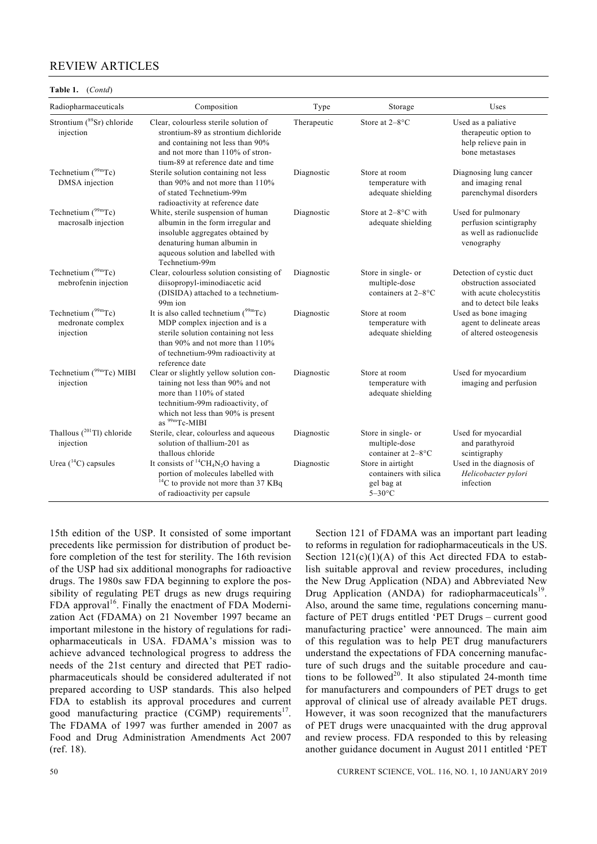#### **Table 1.** (*Contd*)

| Radiopharmaceuticals                                      | Composition                                                                                                                                                                                                     | Type        | Storage                                                                | Uses                                                                                                       |
|-----------------------------------------------------------|-----------------------------------------------------------------------------------------------------------------------------------------------------------------------------------------------------------------|-------------|------------------------------------------------------------------------|------------------------------------------------------------------------------------------------------------|
| Strontium (89Sr) chloride<br>injection                    | Clear, colourless sterile solution of<br>strontium-89 as strontium dichloride<br>and containing not less than 90%<br>and not more than 110% of stron-<br>tium-89 at reference date and time                     | Therapeutic | Store at 2-8°C                                                         | Used as a paliative<br>therapeutic option to<br>help relieve pain in<br>bone metastases                    |
| Technetium $(^{99m}$ Tc)<br>DMSA injection                | Sterile solution containing not less<br>than 90% and not more than 110%<br>of stated Technetium-99m<br>radioactivity at reference date                                                                          | Diagnostic  | Store at room<br>temperature with<br>adequate shielding                | Diagnosing lung cancer<br>and imaging renal<br>parenchymal disorders                                       |
| Technetium $(^{99m}$ Tc)<br>macrosalb injection           | White, sterile suspension of human<br>albumin in the form irregular and<br>insoluble aggregates obtained by<br>denaturing human albumin in<br>aqueous solution and labelled with<br>Technetium-99m              | Diagnostic  | Store at $2-8$ °C with<br>adequate shielding                           | Used for pulmonary<br>perfusion scintigraphy<br>as well as radionuclide<br>venography                      |
| Technetium $(^{99m}$ Tc)<br>mebrofenin injection          | Clear, colourless solution consisting of<br>diisopropyl-iminodiacetic acid<br>(DISIDA) attached to a technetium-<br>99 <sub>m</sub> ion                                                                         | Diagnostic  | Store in single- or<br>multiple-dose<br>containers at 2-8°C            | Detection of cystic duct<br>obstruction associated<br>with acute cholecystitis<br>and to detect bile leaks |
| Technetium $(^{99m}Tc)$<br>medronate complex<br>injection | It is also called technetium $(^{99}$ mTc)<br>MDP complex injection and is a<br>sterile solution containing not less<br>than 90% and not more than 110%<br>of technetium-99m radioactivity at<br>reference date | Diagnostic  | Store at room<br>temperature with<br>adequate shielding                | Used as bone imaging<br>agent to delineate areas<br>of altered osteogenesis                                |
| Technetium (99mTc) MIBI<br>injection                      | Clear or slightly yellow solution con-<br>taining not less than 90% and not<br>more than 110% of stated<br>technitium-99m radioactivity, of<br>which not less than 90% is present<br>as <sup>99m</sup> Tc-MIBI  | Diagnostic  | Store at room<br>temperature with<br>adequate shielding                | Used for myocardium<br>imaging and perfusion                                                               |
| Thallous $(^{201}Tl)$ chloride<br>injection               | Sterile, clear, colourless and aqueous<br>solution of thallium-201 as<br>thallous chloride                                                                                                                      | Diagnostic  | Store in single- or<br>multiple-dose<br>container at 2-8°C             | Used for myocardial<br>and parathyroid<br>scintigraphy                                                     |
| Urea $(^{14}C)$ capsules                                  | It consists of ${}^{14}CH_4N_2O$ having a<br>portion of molecules labelled with<br>$^{14}$ C to provide not more than 37 KBq<br>of radioactivity per capsule                                                    | Diagnostic  | Store in airtight<br>containers with silica<br>gel bag at<br>$5-30$ °C | Used in the diagnosis of<br>Helicobacter pylori<br>infection                                               |

15th edition of the USP. It consisted of some important precedents like permission for distribution of product before completion of the test for sterility. The 16th revision of the USP had six additional monographs for radioactive drugs. The 1980s saw FDA beginning to explore the possibility of regulating PET drugs as new drugs requiring FDA approval $16$ . Finally the enactment of FDA Modernization Act (FDAMA) on 21 November 1997 became an important milestone in the history of regulations for radiopharmaceuticals in USA. FDAMA's mission was to achieve advanced technological progress to address the needs of the 21st century and directed that PET radiopharmaceuticals should be considered adulterated if not prepared according to USP standards. This also helped FDA to establish its approval procedures and current good manufacturing practice  $(CGMP)$  requirements<sup>17</sup>. The FDAMA of 1997 was further amended in 2007 as Food and Drug Administration Amendments Act 2007 (ref. 18).

 Section 121 of FDAMA was an important part leading to reforms in regulation for radiopharmaceuticals in the US. Section  $121(c)(1)(A)$  of this Act directed FDA to establish suitable approval and review procedures, including the New Drug Application (NDA) and Abbreviated New Drug Application (ANDA) for radiopharmaceuticals<sup>19</sup>. Also, around the same time, regulations concerning manufacture of PET drugs entitled 'PET Drugs – current good manufacturing practice' were announced. The main aim of this regulation was to help PET drug manufacturers understand the expectations of FDA concerning manufacture of such drugs and the suitable procedure and cautions to be followed<sup>20</sup>. It also stipulated 24-month time for manufacturers and compounders of PET drugs to get approval of clinical use of already available PET drugs. However, it was soon recognized that the manufacturers of PET drugs were unacquainted with the drug approval and review process. FDA responded to this by releasing another guidance document in August 2011 entitled 'PET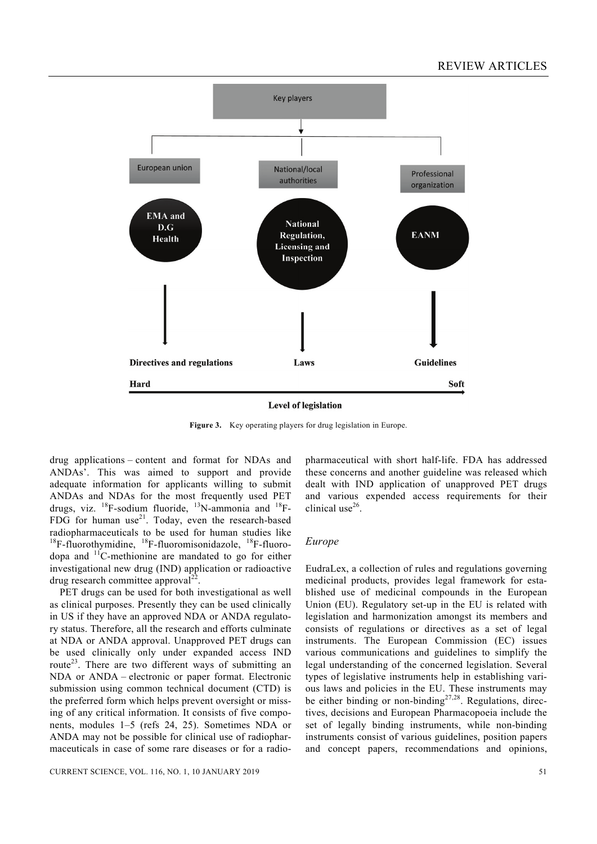

**Level of legislation** 

**Figure 3.** Key operating players for drug legislation in Europe.

drug applications – content and format for NDAs and ANDAs'. This was aimed to support and provide adequate information for applicants willing to submit ANDAs and NDAs for the most frequently used PET drugs, viz.  $^{18}$ F-sodium fluoride,  $^{13}$ N-ammonia and  $^{18}$ F-FDG for human use<sup>21</sup>. Today, even the research-based radiopharmaceuticals to be used for human studies like  $18F$ -fluorothymidine,  $18F$ -fluoromisonidazole,  $18F$ -fluorodopa and  $\frac{11}{2}$ C-methionine are mandated to go for either investigational new drug (IND) application or radioactive drug research committee approval<sup>22</sup>

 PET drugs can be used for both investigational as well as clinical purposes. Presently they can be used clinically in US if they have an approved NDA or ANDA regulatory status. Therefore, all the research and efforts culminate at NDA or ANDA approval. Unapproved PET drugs can be used clinically only under expanded access IND route<sup>23</sup>. There are two different ways of submitting an NDA or ANDA – electronic or paper format. Electronic submission using common technical document (CTD) is the preferred form which helps prevent oversight or missing of any critical information. It consists of five components, modules 1–5 (refs 24, 25). Sometimes NDA or ANDA may not be possible for clinical use of radiopharmaceuticals in case of some rare diseases or for a radiopharmaceutical with short half-life. FDA has addressed these concerns and another guideline was released which dealt with IND application of unapproved PET drugs and various expended access requirements for their clinical use<sup>26</sup>.

### *Europe*

EudraLex, a collection of rules and regulations governing medicinal products, provides legal framework for established use of medicinal compounds in the European Union (EU). Regulatory set-up in the EU is related with legislation and harmonization amongst its members and consists of regulations or directives as a set of legal instruments. The European Commission (EC) issues various communications and guidelines to simplify the legal understanding of the concerned legislation. Several types of legislative instruments help in establishing various laws and policies in the EU. These instruments may be either binding or non-binding<sup>27,28</sup>. Regulations, directives, decisions and European Pharmacopoeia include the set of legally binding instruments, while non-binding instruments consist of various guidelines, position papers and concept papers, recommendations and opinions,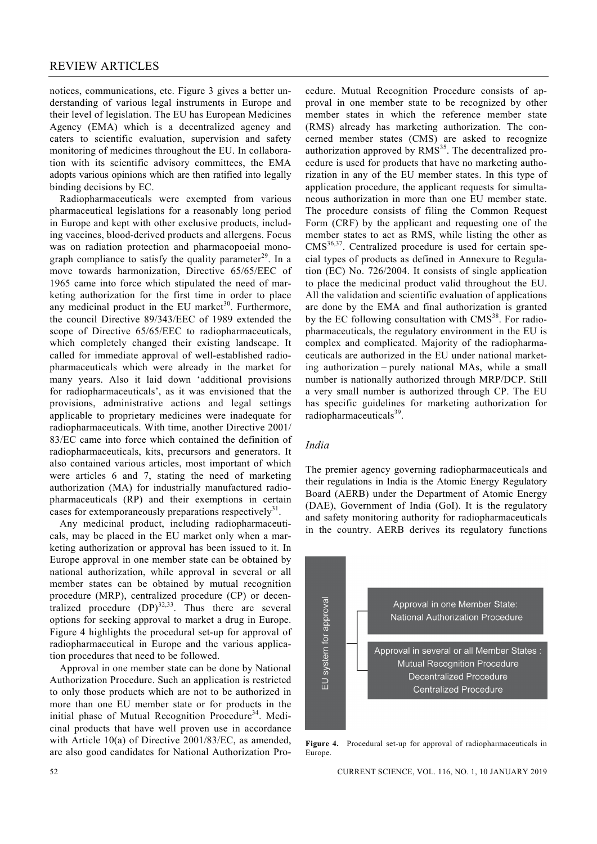notices, communications, etc. Figure 3 gives a better understanding of various legal instruments in Europe and their level of legislation. The EU has European Medicines Agency (EMA) which is a decentralized agency and caters to scientific evaluation, supervision and safety monitoring of medicines throughout the EU. In collaboration with its scientific advisory committees, the EMA adopts various opinions which are then ratified into legally binding decisions by EC.

 Radiopharmaceuticals were exempted from various pharmaceutical legislations for a reasonably long period in Europe and kept with other exclusive products, including vaccines, blood-derived products and allergens. Focus was on radiation protection and pharmacopoeial monograph compliance to satisfy the quality parameter $29$ . In a move towards harmonization, Directive 65/65/EEC of 1965 came into force which stipulated the need of marketing authorization for the first time in order to place any medicinal product in the EU market<sup>30</sup>. Furthermore, the council Directive 89/343/EEC of 1989 extended the scope of Directive 65/65/EEC to radiopharmaceuticals, which completely changed their existing landscape. It called for immediate approval of well-established radiopharmaceuticals which were already in the market for many years. Also it laid down 'additional provisions for radiopharmaceuticals', as it was envisioned that the provisions, administrative actions and legal settings applicable to proprietary medicines were inadequate for radiopharmaceuticals. With time, another Directive 2001/ 83/EC came into force which contained the definition of radiopharmaceuticals, kits, precursors and generators. It also contained various articles, most important of which were articles 6 and 7, stating the need of marketing authorization (MA) for industrially manufactured radiopharmaceuticals (RP) and their exemptions in certain cases for extemporaneously preparations respectively $3^3$ .

 Any medicinal product, including radiopharmaceuticals, may be placed in the EU market only when a marketing authorization or approval has been issued to it. In Europe approval in one member state can be obtained by national authorization, while approval in several or all member states can be obtained by mutual recognition procedure (MRP), centralized procedure (CP) or decentralized procedure  $(DP)^{32,33}$ . Thus there are several options for seeking approval to market a drug in Europe. Figure 4 highlights the procedural set-up for approval of radiopharmaceutical in Europe and the various application procedures that need to be followed.

 Approval in one member state can be done by National Authorization Procedure. Such an application is restricted to only those products which are not to be authorized in more than one EU member state or for products in the initial phase of Mutual Recognition Procedure<sup>34</sup>. Medicinal products that have well proven use in accordance with Article 10(a) of Directive 2001/83/EC, as amended, are also good candidates for National Authorization Proproval in one member state to be recognized by other member states in which the reference member state (RMS) already has marketing authorization. The concerned member states (CMS) are asked to recognize authorization approved by  $RMS<sup>35</sup>$ . The decentralized procedure is used for products that have no marketing authorization in any of the EU member states. In this type of application procedure, the applicant requests for simultaneous authorization in more than one EU member state. The procedure consists of filing the Common Request Form (CRF) by the applicant and requesting one of the member states to act as RMS, while listing the other as CMS<sup>36,37</sup>. Centralized procedure is used for certain special types of products as defined in Annexure to Regulation (EC) No. 726/2004. It consists of single application to place the medicinal product valid throughout the EU. All the validation and scientific evaluation of applications are done by the EMA and final authorization is granted by the EC following consultation with  $CMS^{38}$ . For radiopharmaceuticals, the regulatory environment in the EU is complex and complicated. Majority of the radiopharmaceuticals are authorized in the EU under national marketing authorization – purely national MAs, while a small number is nationally authorized through MRP/DCP. Still a very small number is authorized through CP. The EU has specific guidelines for marketing authorization for radiopharmaceuticals<sup>39</sup>.

cedure. Mutual Recognition Procedure consists of ap-

## *India*

The premier agency governing radiopharmaceuticals and their regulations in India is the Atomic Energy Regulatory Board (AERB) under the Department of Atomic Energy (DAE), Government of India (GoI). It is the regulatory and safety monitoring authority for radiopharmaceuticals in the country. AERB derives its regulatory functions



**Figure 4.** Procedural set-up for approval of radiopharmaceuticals in Europe.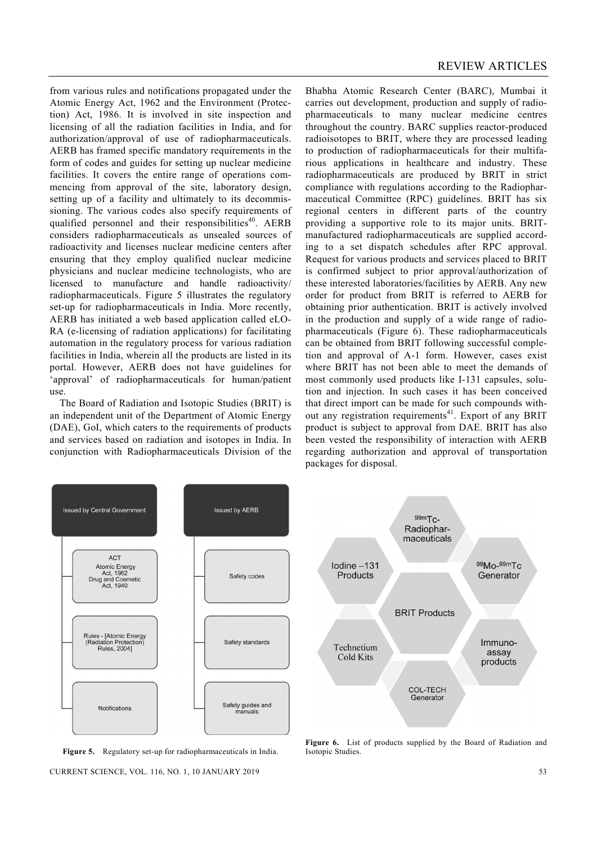from various rules and notifications propagated under the Atomic Energy Act, 1962 and the Environment (Protection) Act, 1986. It is involved in site inspection and licensing of all the radiation facilities in India, and for authorization/approval of use of radiopharmaceuticals. AERB has framed specific mandatory requirements in the form of codes and guides for setting up nuclear medicine facilities. It covers the entire range of operations commencing from approval of the site, laboratory design, setting up of a facility and ultimately to its decommissioning. The various codes also specify requirements of qualified personnel and their responsibilities<sup>40</sup>. AERB considers radiopharmaceuticals as unsealed sources of radioactivity and licenses nuclear medicine centers after ensuring that they employ qualified nuclear medicine physicians and nuclear medicine technologists, who are licensed to manufacture and handle radioactivity/ radiopharmaceuticals. Figure 5 illustrates the regulatory set-up for radiopharmaceuticals in India. More recently, AERB has initiated a web based application called eLO-RA (e-licensing of radiation applications) for facilitating automation in the regulatory process for various radiation facilities in India, wherein all the products are listed in its portal. However, AERB does not have guidelines for 'approval' of radiopharmaceuticals for human/patient use.

 The Board of Radiation and Isotopic Studies (BRIT) is an independent unit of the Department of Atomic Energy (DAE), GoI, which caters to the requirements of products and services based on radiation and isotopes in India. In conjunction with Radiopharmaceuticals Division of the Bhabha Atomic Research Center (BARC), Mumbai it carries out development, production and supply of radiopharmaceuticals to many nuclear medicine centres throughout the country. BARC supplies reactor-produced radioisotopes to BRIT, where they are processed leading to production of radiopharmaceuticals for their multifarious applications in healthcare and industry. These radiopharmaceuticals are produced by BRIT in strict compliance with regulations according to the Radiopharmaceutical Committee (RPC) guidelines. BRIT has six regional centers in different parts of the country providing a supportive role to its major units. BRITmanufactured radiopharmaceuticals are supplied according to a set dispatch schedules after RPC approval. Request for various products and services placed to BRIT is confirmed subject to prior approval/authorization of these interested laboratories/facilities by AERB. Any new order for product from BRIT is referred to AERB for obtaining prior authentication. BRIT is actively involved in the production and supply of a wide range of radiopharmaceuticals (Figure 6). These radiopharmaceuticals can be obtained from BRIT following successful completion and approval of A-1 form. However, cases exist where BRIT has not been able to meet the demands of most commonly used products like I-131 capsules, solution and injection. In such cases it has been conceived that direct import can be made for such compounds without any registration requirements<sup>41</sup>. Export of any BRIT product is subject to approval from DAE. BRIT has also been vested the responsibility of interaction with AERB regarding authorization and approval of transportation packages for disposal.



**Figure 5.** Regulatory set-up for radiopharmaceuticals in India.

CURRENT SCIENCE, VOL. 116, NO. 1, 10 JANUARY 2019 53



**Figure 6.** List of products supplied by the Board of Radiation and Isotopic Studies.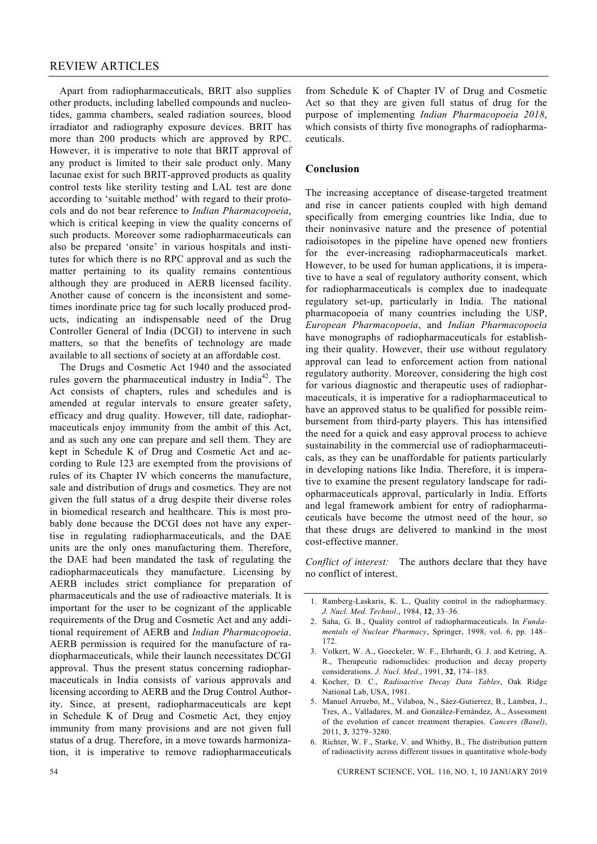Apart from radiopharmaceuticals, BRIT also supplies other products, including labelled compounds and nucleotides, gamma chambers, sealed radiation sources, blood irradiator and radiography exposure devices. BRIT has more than 200 products which are approved by RPC. However, it is imperative to note that BRIT approval of any product is limited to their sale product only. Many lacunae exist for such BRIT-approved products as quality control tests like sterility testing and LAL test are done according to 'suitable method' with regard to their protocols and do not bear reference to *Indian Pharmacopoeia*, which is critical keeping in view the quality concerns of such products. Moreover some radiopharmaceuticals can also be prepared 'onsite' in various hospitals and institutes for which there is no RPC approval and as such the matter pertaining to its quality remains contentious although they are produced in AERB licensed facility. Another cause of concern is the inconsistent and sometimes inordinate price tag for such locally produced products, indicating an indispensable need of the Drug Controller General of India (DCGI) to intervene in such matters, so that the benefits of technology are made available to all sections of society at an affordable cost.

 The Drugs and Cosmetic Act 1940 and the associated rules govern the pharmaceutical industry in India<sup>42</sup>. The Act consists of chapters, rules and schedules and is amended at regular intervals to ensure greater safety, efficacy and drug quality. However, till date, radiopharmaceuticals enjoy immunity from the ambit of this Act, and as such any one can prepare and sell them. They are kept in Schedule K of Drug and Cosmetic Act and according to Rule 123 are exempted from the provisions of rules of its Chapter IV which concerns the manufacture, sale and distribution of drugs and cosmetics. They are not given the full status of a drug despite their diverse roles in biomedical research and healthcare. This is most probably done because the DCGI does not have any expertise in regulating radiopharmaceuticals, and the DAE units are the only ones manufacturing them. Therefore, the DAE had been mandated the task of regulating the radiopharmaceuticals they manufacture. Licensing by AERB includes strict compliance for preparation of pharmaceuticals and the use of radioactive materials. It is important for the user to be cognizant of the applicable requirements of the Drug and Cosmetic Act and any additional requirement of AERB and *Indian Pharmacopoeia*. AERB permission is required for the manufacture of radiopharmaceuticals, while their launch necessitates DCGI approval. Thus the present status concerning radiopharmaceuticals in India consists of various approvals and licensing according to AERB and the Drug Control Authority. Since, at present, radiopharmaceuticals are kept in Schedule K of Drug and Cosmetic Act, they enjoy immunity from many provisions and are not given full status of a drug. Therefore, in a move towards harmonization, it is imperative to remove radiopharmaceuticals

from Schedule K of Chapter IV of Drug and Cosmetic Act so that they are given full status of drug for the purpose of implementing *Indian Pharmacopoeia 2018*, which consists of thirty five monographs of radiopharmaceuticals.

# **Conclusion**

The increasing acceptance of disease-targeted treatment and rise in cancer patients coupled with high demand specifically from emerging countries like India, due to their noninvasive nature and the presence of potential radioisotopes in the pipeline have opened new frontiers for the ever-increasing radiopharmaceuticals market. However, to be used for human applications, it is imperative to have a seal of regulatory authority consent, which for radiopharmaceuticals is complex due to inadequate regulatory set-up, particularly in India. The national pharmacopoeia of many countries including the USP, *European Pharmacopoeia*, and *Indian Pharmacopoeia* have monographs of radiopharmaceuticals for establishing their quality. However, their use without regulatory approval can lead to enforcement action from national regulatory authority. Moreover, considering the high cost for various diagnostic and therapeutic uses of radiopharmaceuticals, it is imperative for a radiopharmaceutical to have an approved status to be qualified for possible reimbursement from third-party players. This has intensified the need for a quick and easy approval process to achieve sustainability in the commercial use of radiopharmaceuticals, as they can be unaffordable for patients particularly in developing nations like India. Therefore, it is imperative to examine the present regulatory landscape for radiopharmaceuticals approval, particularly in India. Efforts and legal framework ambient for entry of radiopharmaceuticals have become the utmost need of the hour, so that these drugs are delivered to mankind in the most cost-effective manner.

*Conflict of interest:* The authors declare that they have no conflict of interest.

- 3. Volkert, W. A., Goeckeler, W. F., Ehrhardt, G. J. and Ketring, A. R., Therapeutic radionuclides: production and decay property considerations. *J. Nucl. Med*., 1991, **32**, 174–185.
- 4. Kocher, D. C., *Radioactive Decay Data Tables*, Oak Ridge National Lab, USA, 1981.
- 5. Manuel Arruebo, M., Vilaboa, N., Sáez-Gutierrez, B., Lambea, J., Tres, A., Valladares, M. and González-Fernández, A., Assessment of the evolution of cancer treatment therapies. *Cancers (Basel)*, 2011, **3**, 3279–3280.
- 6. Richter, W. F., Starke, V. and Whitby, B., The distribution pattern of radioactivity across different tissues in quantitative whole-body

54 CURRENT SCIENCE, VOL. 116, NO. 1, 10 JANUARY 2019

<sup>1.</sup> Ramberg-Laskaris, K. L., Quality control in the radiopharmacy. *J. Nucl. Med. Technol*., 1984, **12**, 33–36.

<sup>2.</sup> Saha, G. B., Quality control of radiopharmaceuticals. In *Fundamentals of Nuclear Pharmacy*, Springer, 1998, vol. 6, pp. 148– 172.